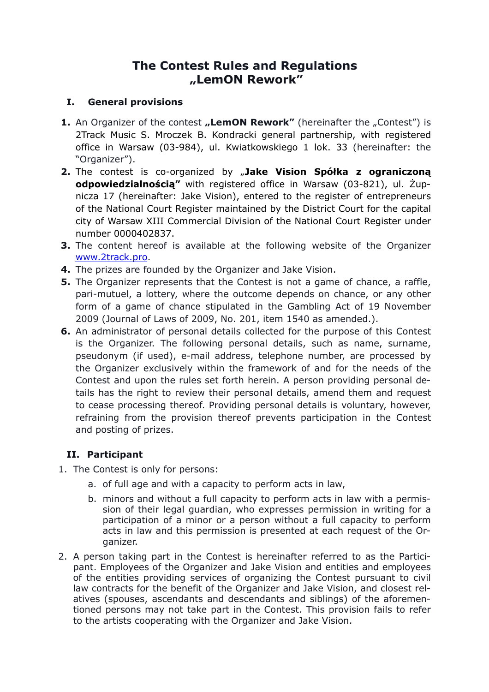# **The Contest Rules and Regulations "LemON Rework"**

# **I. General provisions**

- **1.** An Organizer of the contest **"LemON Rework"** (hereinafter the "Contest") is 2Track Music S. Mroczek B. Kondracki general partnership, with registered office in Warsaw (03-984), ul. Kwiatkowskiego 1 lok. 33 (hereinafter: the "Organizer").
- **2.** The contest is co-organized by "**Jake Vision Spółka z ograniczoną odpowiedzialnością"** with registered office in Warsaw (03-821), ul. Żupnicza 17 (hereinafter: Jake Vision), entered to the register of entrepreneurs of the National Court Register maintained by the District Court for the capital city of Warsaw XIII Commercial Division of the National Court Register under number 0000402837.
- **3.** The content hereof is available at the following website of the Organizer [www.2track.pro](https://2track.pro/).
- **4.** The prizes are founded by the Organizer and Jake Vision.
- **5.** The Organizer represents that the Contest is not a game of chance, a raffle, pari-mutuel, a lottery, where the outcome depends on chance, or any other form of a game of chance stipulated in the Gambling Act of 19 November 2009 (Journal of Laws of 2009, No. 201, item 1540 as amended.).
- **6.** An administrator of personal details collected for the purpose of this Contest is the Organizer. The following personal details, such as name, surname, pseudonym (if used), e-mail address, telephone number, are processed by the Organizer exclusively within the framework of and for the needs of the Contest and upon the rules set forth herein. A person providing personal details has the right to review their personal details, amend them and request to cease processing thereof. Providing personal details is voluntary, however, refraining from the provision thereof prevents participation in the Contest and posting of prizes.

# **II. Participant**

- 1. The Contest is only for persons:
	- a. of full age and with a capacity to perform acts in law,
	- b. minors and without a full capacity to perform acts in law with a permission of their legal guardian, who expresses permission in writing for a participation of a minor or a person without a full capacity to perform acts in law and this permission is presented at each request of the Organizer.
- 2. A person taking part in the Contest is hereinafter referred to as the Participant. Employees of the Organizer and Jake Vision and entities and employees of the entities providing services of organizing the Contest pursuant to civil law contracts for the benefit of the Organizer and Jake Vision, and closest relatives (spouses, ascendants and descendants and siblings) of the aforementioned persons may not take part in the Contest. This provision fails to refer to the artists cooperating with the Organizer and Jake Vision.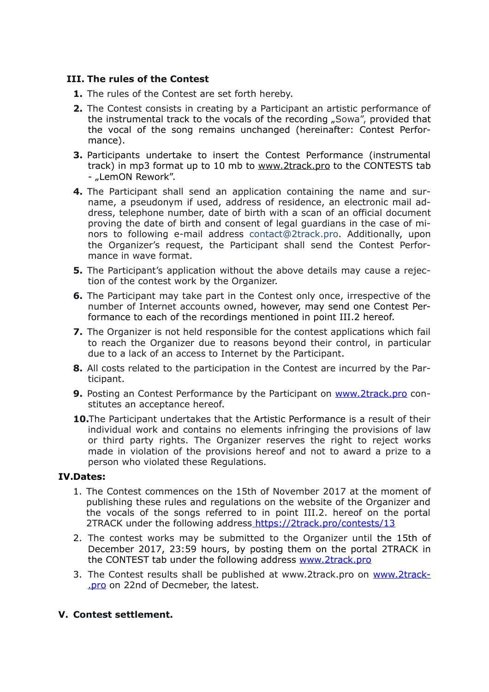#### **III. The rules of the Contest**

- **1.** The rules of the Contest are set forth hereby.
- **2.** The Contest consists in creating by a Participant an artistic performance of the instrumental track to the vocals of the recording "Sowa", provided that the vocal of the song remains unchanged (hereinafter: Contest Performance).
- **3.** Participants undertake to insert the Contest Performance (instrumental track) in mp3 format up to 10 mb to [www.2track.pro](http://www.2track.pro) to the CONTESTS tab - "LemON Rework".
- **4.** The Participant shall send an application containing the name and surname, a pseudonym if used, address of residence, an electronic mail address, telephone number, date of birth with a scan of an official document proving the date of birth and consent of legal guardians in the case of minors to following e-mail address contact@2track.pro. Additionally, upon the Organizer's request, the Participant shall send the Contest Performance in wave format.
- **5.** The Participant's application without the above details may cause a rejection of the contest work by the Organizer.
- **6.** The Participant may take part in the Contest only once, irrespective of the number of Internet accounts owned, however, may send one Contest Performance to each of the recordings mentioned in point III.2 hereof.
- **7.** The Organizer is not held responsible for the contest applications which fail to reach the Organizer due to reasons beyond their control, in particular due to a lack of an access to Internet by the Participant.
- **8.** All costs related to the participation in the Contest are incurred by the Participant.
- **9.** Posting an Contest Performance by the Participant on [www.2track.pro](http://www.2track.pro) constitutes an acceptance hereof.
- **10.**The Participant undertakes that the Artistic Performance is a result of their individual work and contains no elements infringing the provisions of law or third party rights. The Organizer reserves the right to reject works made in violation of the provisions hereof and not to award a prize to a person who violated these Regulations.

#### **IV.Dates:**

- 1. The Contest commences on the 15th of November 2017 at the moment of publishing these rules and regulations on the website of the Organizer and the vocals of the songs referred to in point III.2. hereof on the portal 2TRACK under the following address https://2track.pro/contests/13
- 2. The contest works may be submitted to the Organizer until the 15th of December 2017, 23:59 hours, by posting them on the portal 2TRACK in the CONTEST tab under the following address [www.2track.pro](http://www.2track.pro)
- 3. The Contest results shall be published at www.2track.pro on www.2track-.pro on 22nd of Decmeber, the latest.

#### **V. Contest settlement.**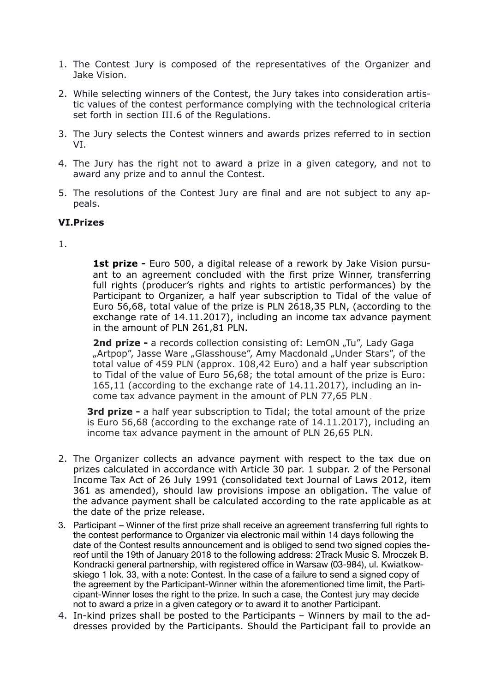- 1. The Contest Jury is composed of the representatives of the Organizer and Jake Vision.
- 2. While selecting winners of the Contest, the Jury takes into consideration artistic values of the contest performance complying with the technological criteria set forth in section III.6 of the Regulations.
- 3. The Jury selects the Contest winners and awards prizes referred to in section VI.
- 4. The Jury has the right not to award a prize in a given category, and not to award any prize and to annul the Contest.
- 5. The resolutions of the Contest Jury are final and are not subject to any appeals.

#### **VI.Prizes**

#### 1.

**1st prize -** Euro 500, a digital release of a rework by Jake Vision pursuant to an agreement concluded with the first prize Winner, transferring full rights (producer's rights and rights to artistic performances) by the Participant to Organizer, a half year subscription to Tidal of the value of Euro 56,68, total value of the prize is PLN 2618,35 PLN, (according to the exchange rate of 14.11.2017), including an income tax advance payment in the amount of PLN 261,81 PLN.

**2nd prize -** a records collection consisting of: LemON "Tu", Lady Gaga "Artpop", Jasse Ware "Glasshouse", Amy Macdonald "Under Stars", of the total value of 459 PLN (approx. 108,42 Euro) and a half year subscription to Tidal of the value of Euro 56,68; the total amount of the prize is Euro: 165,11 (according to the exchange rate of 14.11.2017), including an income tax advance payment in the amount of PLN 77,65 PLN .

**3rd prize -** a half year subscription to Tidal; the total amount of the prize is Euro 56,68 (according to the exchange rate of 14.11.2017), including an income tax advance payment in the amount of PLN 26,65 PLN.

- 2. The Organizer collects an advance payment with respect to the tax due on prizes calculated in accordance with Article 30 par. 1 subpar. 2 of the Personal Income Tax Act of 26 July 1991 (consolidated text Journal of Laws 2012, item 361 as amended), should law provisions impose an obligation. The value of the advance payment shall be calculated according to the rate applicable as at the date of the prize release.
- 3. Participant Winner of the first prize shall receive an agreement transferring full rights to the contest performance to Organizer via electronic mail within 14 days following the date of the Contest results announcement and is obliged to send two signed copies thereof until the 19th of January 2018 to the following address: 2Track Music S. Mroczek B. Kondracki general partnership, with registered office in Warsaw (03-984), ul. Kwiatkowskiego 1 lok. 33, with a note: Contest. In the case of a failure to send a signed copy of the agreement by the Participant-Winner within the aforementioned time limit, the Participant-Winner loses the right to the prize. In such a case, the Contest jury may decide not to award a prize in a given category or to award it to another Participant.
- 4. In-kind prizes shall be posted to the Participants Winners by mail to the addresses provided by the Participants. Should the Participant fail to provide an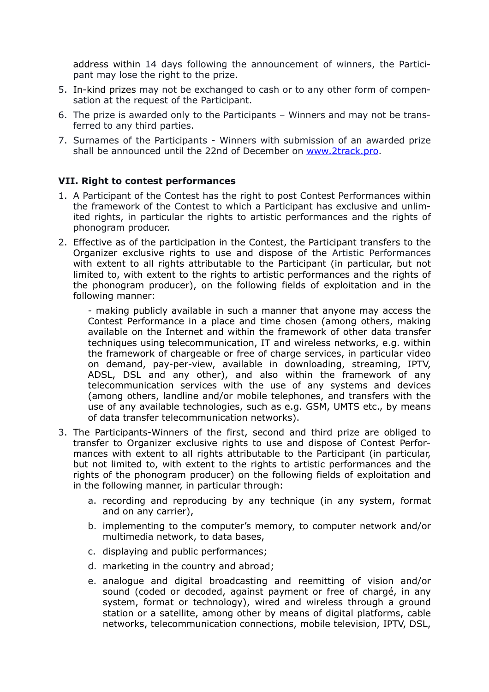address within 14 days following the announcement of winners, the Participant may lose the right to the prize.

- 5. In-kind prizes may not be exchanged to cash or to any other form of compensation at the request of the Participant.
- 6. The prize is awarded only to the Participants Winners and may not be transferred to any third parties.
- 7. Surnames of the Participants Winners with submission of an awarded prize shall be announced until the 22nd of December on [www.2track.pro](http://www.2track.pro).

#### **VII. Right to contest performances**

- 1. A Participant of the Contest has the right to post Contest Performances within the framework of the Contest to which a Participant has exclusive and unlimited rights, in particular the rights to artistic performances and the rights of phonogram producer.
- 2. Effective as of the participation in the Contest, the Participant transfers to the Organizer exclusive rights to use and dispose of the Artistic Performances with extent to all rights attributable to the Participant (in particular, but not limited to, with extent to the rights to artistic performances and the rights of the phonogram producer), on the following fields of exploitation and in the following manner:

- making publicly available in such a manner that anyone may access the Contest Performance in a place and time chosen (among others, making available on the Internet and within the framework of other data transfer techniques using telecommunication, IT and wireless networks, e.g. within the framework of chargeable or free of charge services, in particular video on demand, pay-per-view, available in downloading, streaming, IPTV, ADSL, DSL and any other), and also within the framework of any telecommunication services with the use of any systems and devices (among others, landline and/or mobile telephones, and transfers with the use of any available technologies, such as e.g. GSM, UMTS etc., by means of data transfer telecommunication networks).

- 3. The Participants-Winners of the first, second and third prize are obliged to transfer to Organizer exclusive rights to use and dispose of Contest Performances with extent to all rights attributable to the Participant (in particular, but not limited to, with extent to the rights to artistic performances and the rights of the phonogram producer) on the following fields of exploitation and in the following manner, in particular through:
	- a. recording and reproducing by any technique (in any system, format and on any carrier),
	- b. implementing to the computer's memory, to computer network and/or multimedia network, to data bases,
	- c. displaying and public performances;
	- d. marketing in the country and abroad;
	- e. analogue and digital broadcasting and reemitting of vision and/or sound (coded or decoded, against payment or free of chargé, in any system, format or technology), wired and wireless through a ground station or a satellite, among other by means of digital platforms, cable networks, telecommunication connections, mobile television, IPTV, DSL,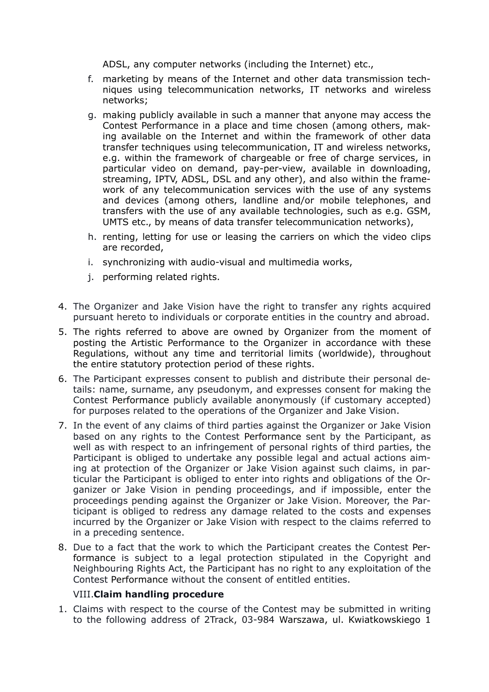ADSL, any computer networks (including the Internet) etc.,

- f. marketing by means of the Internet and other data transmission techniques using telecommunication networks, IT networks and wireless networks;
- g. making publicly available in such a manner that anyone may access the Contest Performance in a place and time chosen (among others, making available on the Internet and within the framework of other data transfer techniques using telecommunication, IT and wireless networks, e.g. within the framework of chargeable or free of charge services, in particular video on demand, pay-per-view, available in downloading, streaming, IPTV, ADSL, DSL and any other), and also within the framework of any telecommunication services with the use of any systems and devices (among others, landline and/or mobile telephones, and transfers with the use of any available technologies, such as e.g. GSM, UMTS etc., by means of data transfer telecommunication networks),
- h. renting, letting for use or leasing the carriers on which the video clips are recorded,
- i. synchronizing with audio-visual and multimedia works,
- j. performing related rights.
- 4. The Organizer and Jake Vision have the right to transfer any rights acquired pursuant hereto to individuals or corporate entities in the country and abroad.
- 5. The rights referred to above are owned by Organizer from the moment of posting the Artistic Performance to the Organizer in accordance with these Regulations, without any time and territorial limits (worldwide), throughout the entire statutory protection period of these rights.
- 6. The Participant expresses consent to publish and distribute their personal details: name, surname, any pseudonym, and expresses consent for making the Contest Performance publicly available anonymously (if customary accepted) for purposes related to the operations of the Organizer and Jake Vision.
- 7. In the event of any claims of third parties against the Organizer or Jake Vision based on any rights to the Contest Performance sent by the Participant, as well as with respect to an infringement of personal rights of third parties, the Participant is obliged to undertake any possible legal and actual actions aiming at protection of the Organizer or Jake Vision against such claims, in particular the Participant is obliged to enter into rights and obligations of the Organizer or Jake Vision in pending proceedings, and if impossible, enter the proceedings pending against the Organizer or Jake Vision. Moreover, the Participant is obliged to redress any damage related to the costs and expenses incurred by the Organizer or Jake Vision with respect to the claims referred to in a preceding sentence.
- 8. Due to a fact that the work to which the Participant creates the Contest Performance is subject to a legal protection stipulated in the Copyright and Neighbouring Rights Act, the Participant has no right to any exploitation of the Contest Performance without the consent of entitled entities.

#### VIII.**Claim handling procedure**

1. Claims with respect to the course of the Contest may be submitted in writing to the following address of 2Track, 03-984 Warszawa, ul. Kwiatkowskiego 1